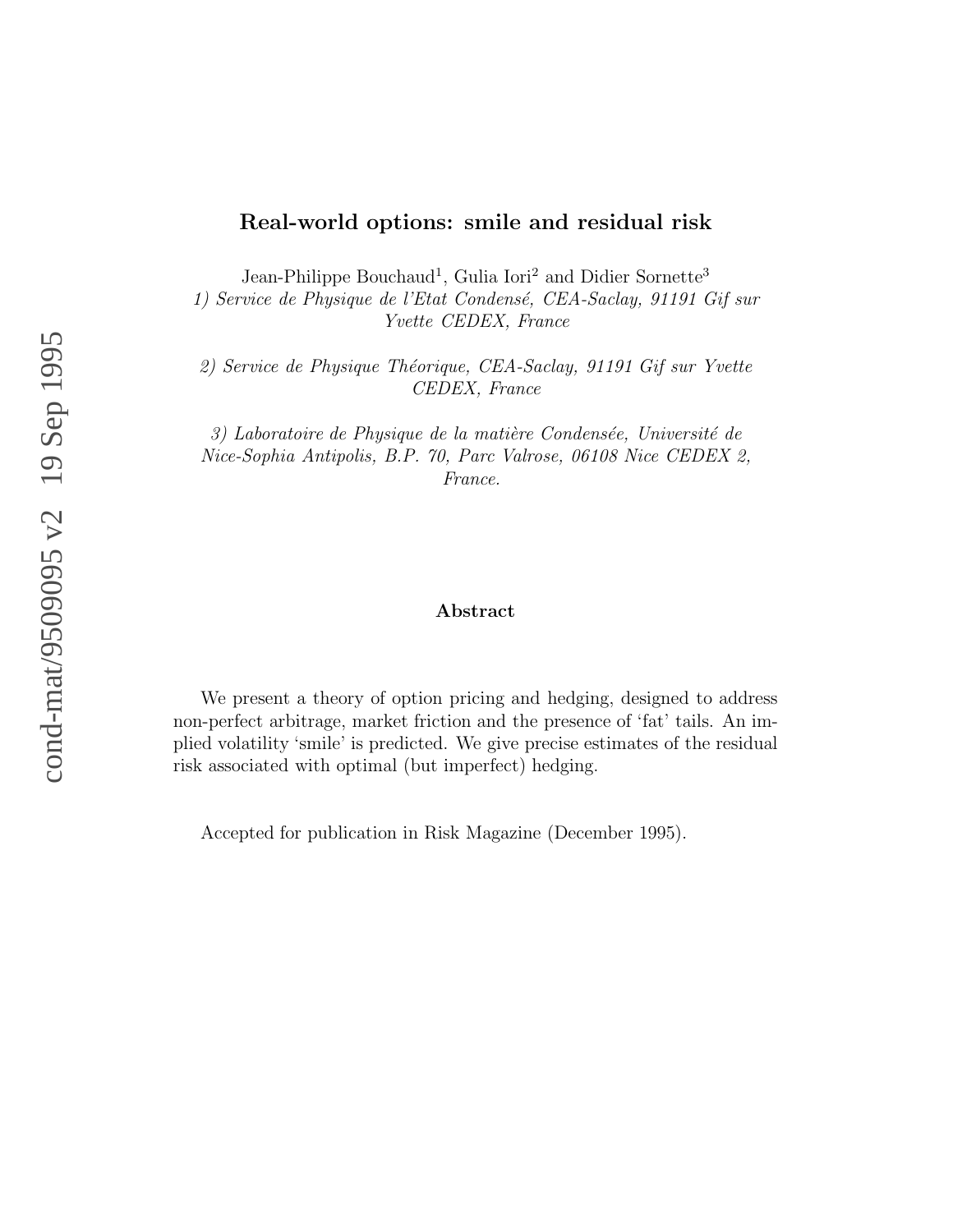### **Real-world options: smile and residual risk**

Jean-Philippe Bouchaud<sup>1</sup>, Gulia Iori<sup>2</sup> and Didier Sornette<sup>3</sup>

1) Service de Physique de l'Etat Condensé, CEA-Saclay, 91191 Gif sur Yvette CEDEX, France

2) Service de Physique Théorique, CEA-Saclay, 91191 Gif sur Yvette CEDEX, France

3) Laboratoire de Physique de la matière Condensée, Université de Nice-Sophia Antipolis, B.P. 70, Parc Valrose, 06108 Nice CEDEX 2, France.

#### **Abstract**

We present a theory of option pricing and hedging, designed to address non-perfect arbitrage, market friction and the presence of 'fat' tails. An implied volatility 'smile' is predicted. We give precise estimates of the residual risk associated with optimal (but imperfect) hedging.

Accepted for publication in Risk Magazine (December 1995).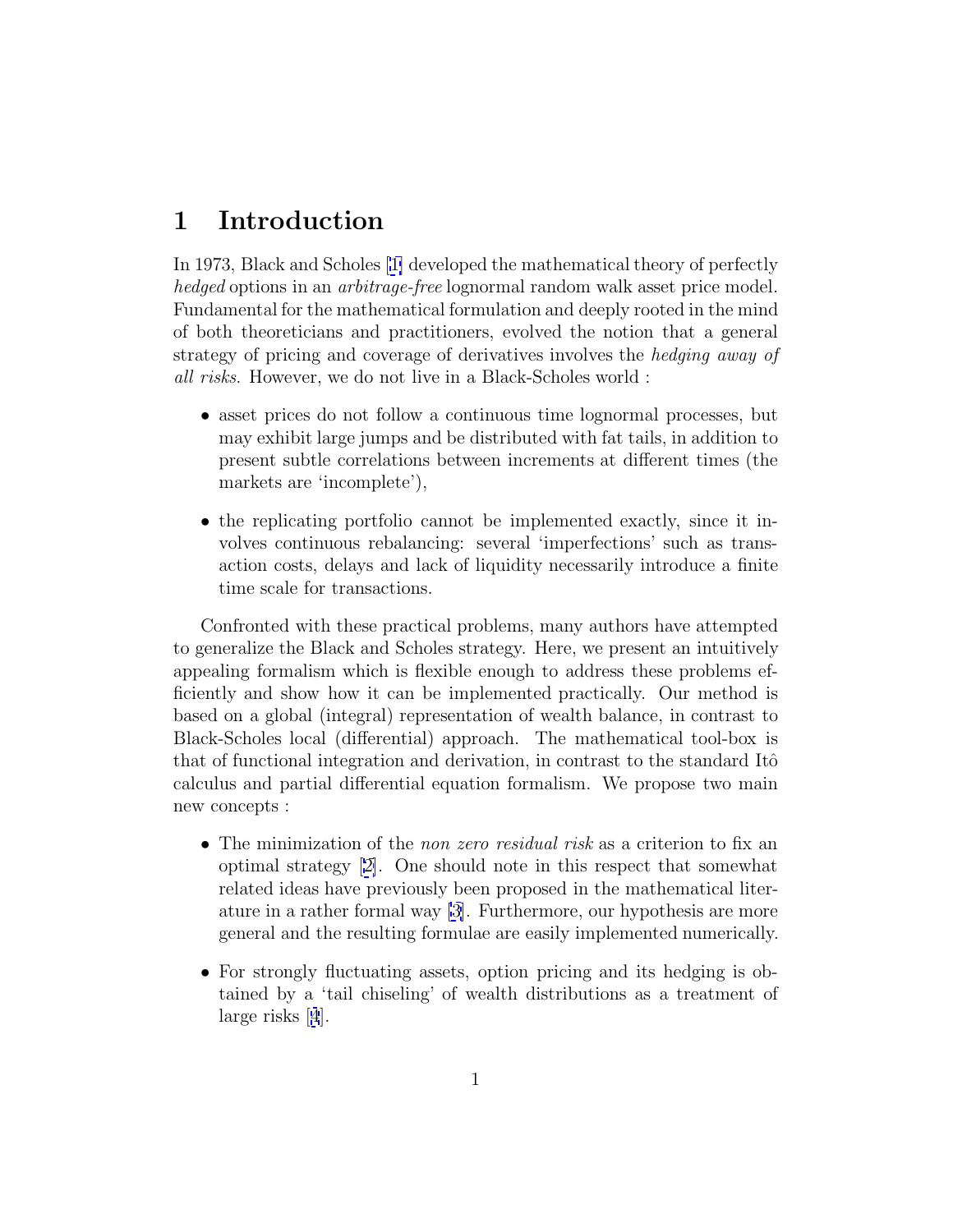# **1 Introduction**

In 1973, Black and Scholes [[1\]](#page-11-0) developed the mathematical theory of perfectly hedged options in an arbitrage-free lognormal random walk asset price model. Fundamental for the mathematical formulation and deeply rooted in the mind of both theoreticians and practitioners, evolved the notion that a general strategy of pricing and coverage of derivatives involves the hedging away of all risks. However, we do not live in a Black-Scholes world :

- asset prices do not follow a continuous time lognormal processes, but may exhibit large jumps and be distributed with fat tails, in addition to present subtle correlations between increments at different times (the markets are 'incomplete'),
- the replicating portfolio cannot be implemented exactly, since it involves continuous rebalancing: several 'imperfections' such as transaction costs, delays and lack of liquidity necessarily introduce a finite time scale for transactions.

Confronted with these practical problems, many authors have attempted to generalize the Black and Scholes strategy. Here, we present an intuitively appealing formalism which is flexible enough to address these problems efficiently and show how it can be implemented practically. Our method is based on a global (integral) representation of wealth balance, in contrast to Black-Scholes local (differential) approach. The mathematical tool-box is that of functional integration and derivation, in contrast to the standard Itô calculus and partial differential equation formalism. We propose two main new concepts :

- The minimization of the *non zero residual risk* as a criterion to fix an optimal strategy [[2\]](#page-11-0). One should note in this respect that somewhat related ideas have previously been proposed in the mathematical literature in a rather formal way [\[3\]](#page-11-0). Furthermore, our hypothesis are more general and the resulting formulae are easily implemented numerically.
- For strongly fluctuating assets, option pricing and its hedging is obtained by a 'tail chiseling' of wealth distributions as a treatment of large risks [[4](#page-11-0)].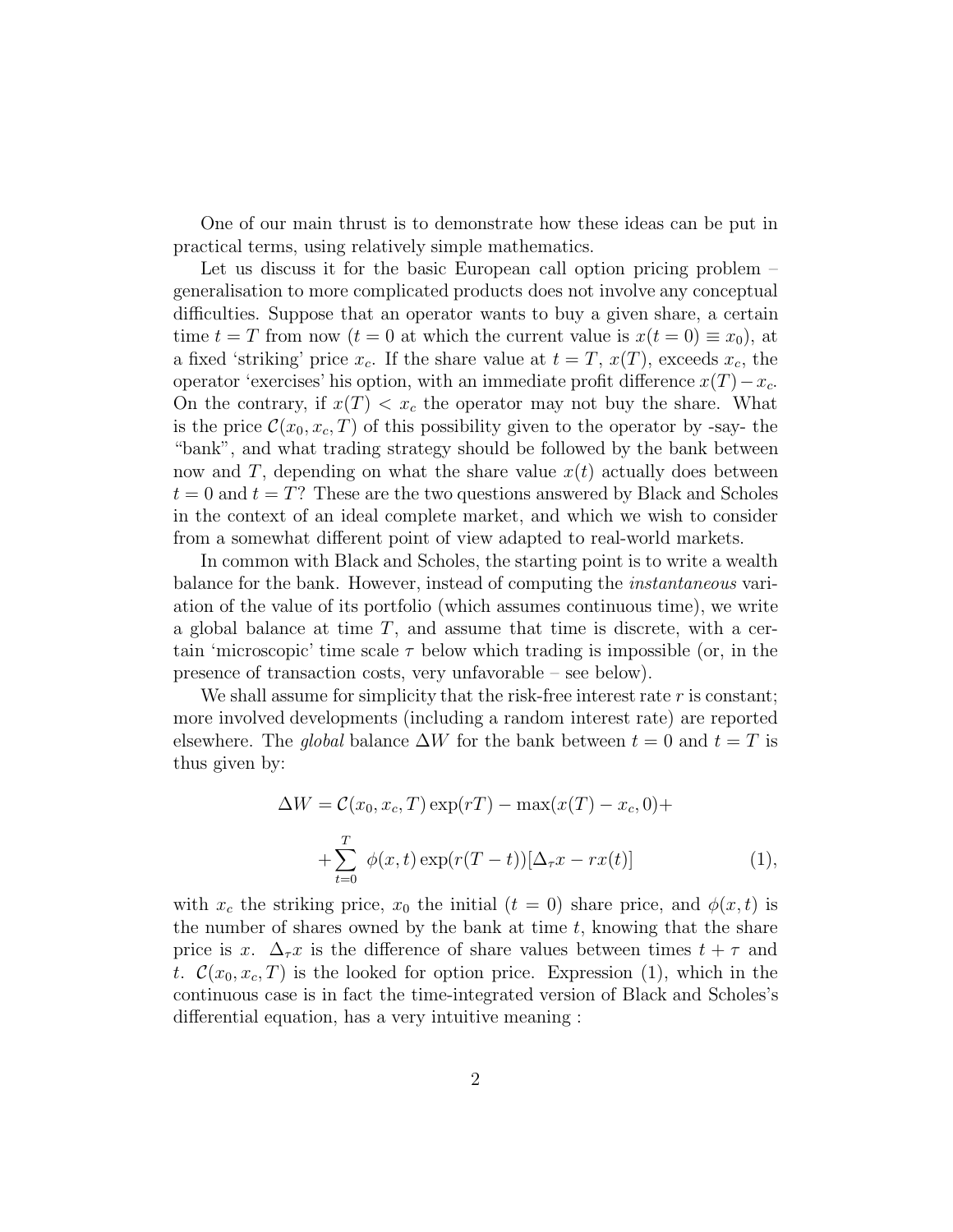One of our main thrust is to demonstrate how these ideas can be put in practical terms, using relatively simple mathematics.

Let us discuss it for the basic European call option pricing problem – generalisation to more complicated products does not involve any conceptual difficulties. Suppose that an operator wants to buy a given share, a certain time  $t = T$  from now  $(t = 0$  at which the current value is  $x(t = 0) \equiv x_0$ , at a fixed 'striking' price  $x_c$ . If the share value at  $t = T$ ,  $x(T)$ , exceeds  $x_c$ , the operator 'exercises' his option, with an immediate profit difference  $x(T) - x_c$ . On the contrary, if  $x(T) < x_c$  the operator may not buy the share. What is the price  $\mathcal{C}(x_0, x_c, T)$  of this possibility given to the operator by -say- the "bank", and what trading strategy should be followed by the bank between now and T, depending on what the share value  $x(t)$  actually does between  $t = 0$  and  $t = T$ ? These are the two questions answered by Black and Scholes in the context of an ideal complete market, and which we wish to consider from a somewhat different point of view adapted to real-world markets.

In common with Black and Scholes, the starting point is to write a wealth balance for the bank. However, instead of computing the instantaneous variation of the value of its portfolio (which assumes continuous time), we write a global balance at time  $T$ , and assume that time is discrete, with a certain 'microscopic' time scale  $\tau$  below which trading is impossible (or, in the presence of transaction costs, very unfavorable – see below).

We shall assume for simplicity that the risk-free interest rate  $r$  is constant; more involved developments (including a random interest rate) are reported elsewhere. The *global* balance  $\Delta W$  for the bank between  $t = 0$  and  $t = T$  is thus given by:

$$
\Delta W = C(x_0, x_c, T) \exp(rT) - \max(x(T) - x_c, 0) +
$$

$$
+ \sum_{t=0}^{T} \phi(x, t) \exp(r(T - t))[\Delta_\tau x - rx(t)] \tag{1},
$$

with  $x_c$  the striking price,  $x_0$  the initial  $(t = 0)$  share price, and  $\phi(x, t)$  is the number of shares owned by the bank at time  $t$ , knowing that the share price is x.  $\Delta_{\tau}$  is the difference of share values between times  $t + \tau$  and t.  $\mathcal{C}(x_0, x_c, T)$  is the looked for option price. Expression (1), which in the continuous case is in fact the time-integrated version of Black and Scholes's differential equation, has a very intuitive meaning :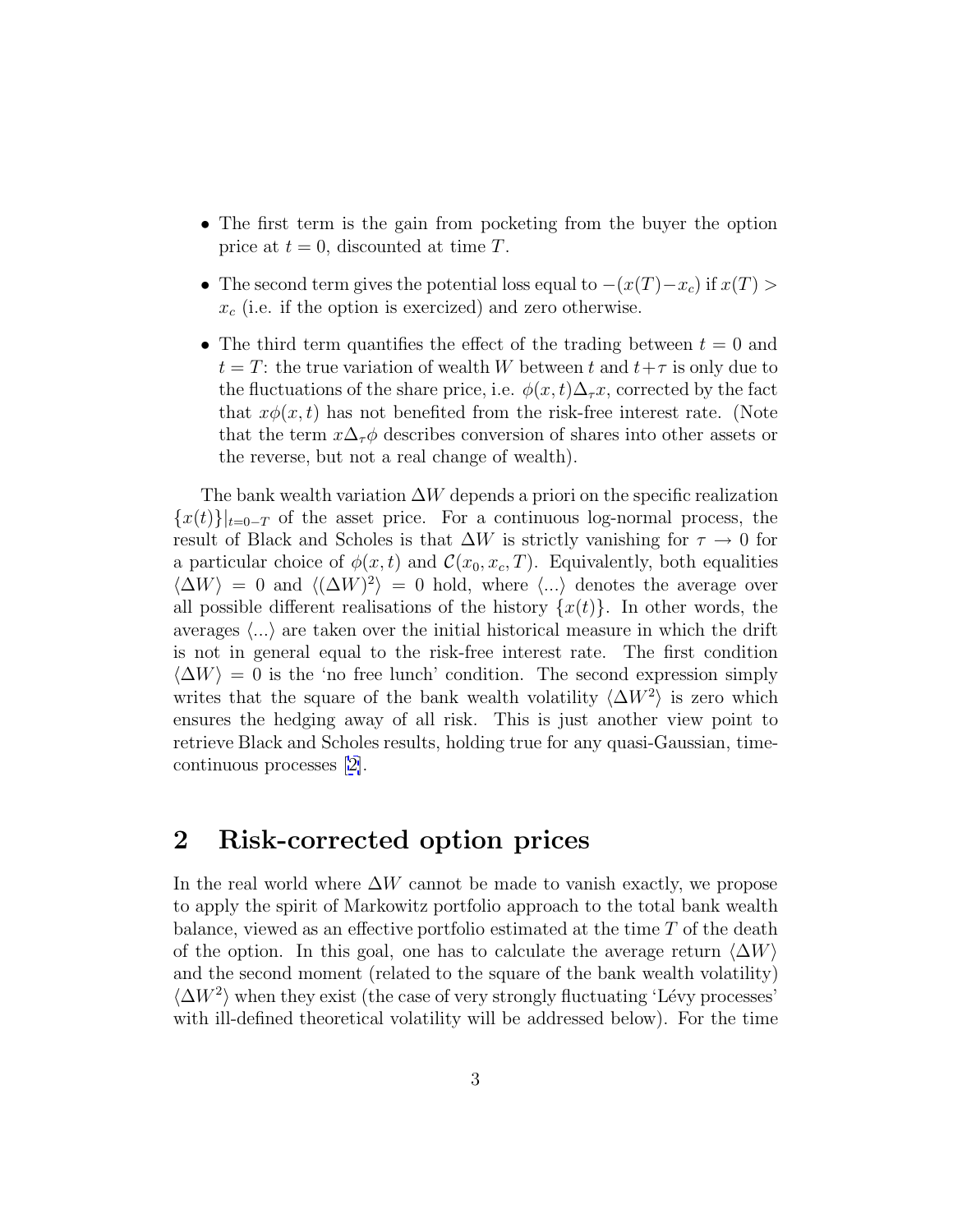- The first term is the gain from pocketing from the buyer the option price at  $t = 0$ , discounted at time T.
- The second term gives the potential loss equal to  $-(x(T)-x_c)$  if  $x(T) >$  $x_c$  (i.e. if the option is exercized) and zero otherwise.
- The third term quantifies the effect of the trading between  $t = 0$  and  $t = T$ : the true variation of wealth W between t and  $t + \tau$  is only due to the fluctuations of the share price, i.e.  $\phi(x, t)\Delta_{\tau}x$ , corrected by the fact that  $x\phi(x, t)$  has not benefited from the risk-free interest rate. (Note that the term  $x\Delta_{\tau}\phi$  describes conversion of shares into other assets or the reverse, but not a real change of wealth).

The bank wealth variation  $\Delta W$  depends a priori on the specific realization  ${x(t)}|_{t=0-T}$  of the asset price. For a continuous log-normal process, the result of Black and Scholes is that  $\Delta W$  is strictly vanishing for  $\tau \to 0$  for a particular choice of  $\phi(x, t)$  and  $\mathcal{C}(x_0, x_c, T)$ . Equivalently, both equalities  $\langle \Delta W \rangle = 0$  and  $\langle (\Delta W)^2 \rangle = 0$  hold, where  $\langle ... \rangle$  denotes the average over all possible different realisations of the history  $\{x(t)\}\$ . In other words, the averages  $\langle \ldots \rangle$  are taken over the initial historical measure in which the drift is not in general equal to the risk-free interest rate. The first condition  $\langle \Delta W \rangle = 0$  is the 'no free lunch' condition. The second expression simply writes that the square of the bank wealth volatility  $\langle \Delta W^2 \rangle$  is zero which ensures the hedging away of all risk. This is just another view point to retrieve Black and Scholes results, holding true for any quasi-Gaussian, timecontinuous processes [[2\]](#page-11-0).

# **2 Risk-corrected option prices**

In the real world where  $\Delta W$  cannot be made to vanish exactly, we propose to apply the spirit of Markowitz portfolio approach to the total bank wealth balance, viewed as an effective portfolio estimated at the time  $T$  of the death of the option. In this goal, one has to calculate the average return  $\langle \Delta W \rangle$ and the second moment (related to the square of the bank wealth volatility)  $\langle \Delta W^2 \rangle$  when they exist (the case of very strongly fluctuating 'Lévy processes' with ill-defined theoretical volatility will be addressed below). For the time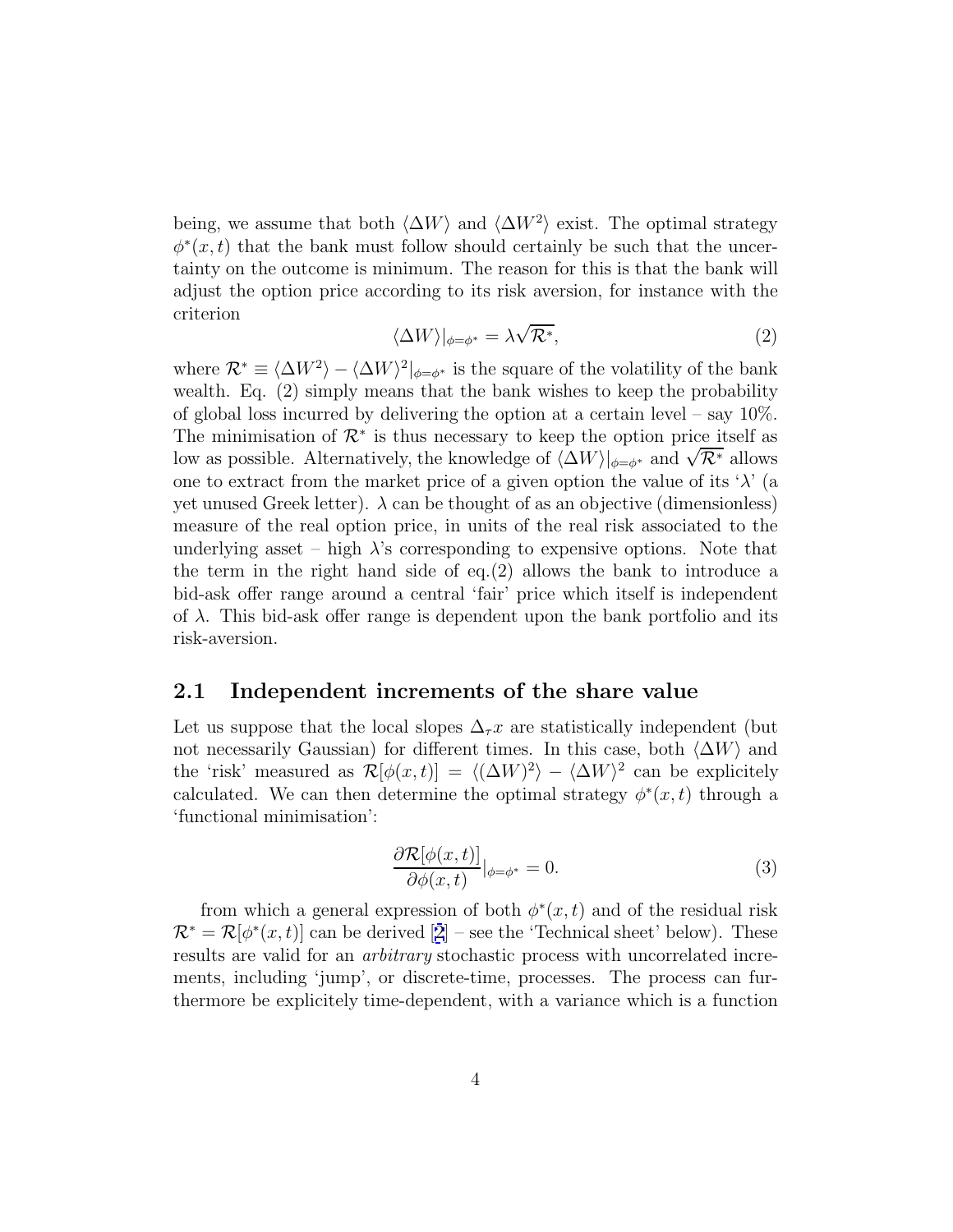being, we assume that both  $\langle \Delta W \rangle$  and  $\langle \Delta W^2 \rangle$  exist. The optimal strategy  $\phi^*(x,t)$  that the bank must follow should certainly be such that the uncertainty on the outcome is minimum. The reason for this is that the bank will adjust the option price according to its risk aversion, for instance with the criterion √

$$
\langle \Delta W \rangle |_{\phi = \phi^*} = \lambda \sqrt{\mathcal{R}^*},\tag{2}
$$

where  $\mathcal{R}^* \equiv \langle \Delta W^2 \rangle - \langle \Delta W \rangle^2|_{\phi=\phi^*}$  is the square of the volatility of the bank wealth. Eq. (2) simply means that the bank wishes to keep the probability of global loss incurred by delivering the option at a certain level – say 10%. The minimisation of  $\mathcal{R}^*$  is thus necessary to keep the option price itself as low as possible. Alternatively, the knowledge of  $\langle \Delta W \rangle |_{\phi=\phi^*}$  and  $\sqrt{\mathcal{R}^*}$  allows one to extract from the market price of a given option the value of its ' $\lambda$ ' (a yet unused Greek letter).  $\lambda$  can be thought of as an objective (dimensionless) measure of the real option price, in units of the real risk associated to the underlying asset – high  $\lambda$ 's corresponding to expensive options. Note that the term in the right hand side of eq.(2) allows the bank to introduce a bid-ask offer range around a central 'fair' price which itself is independent of  $\lambda$ . This bid-ask offer range is dependent upon the bank portfolio and its risk-aversion.

### **2.1 Independent increments of the share value**

Let us suppose that the local slopes  $\Delta_{\tau} x$  are statistically independent (but not necessarily Gaussian) for different times. In this case, both  $\langle \Delta W \rangle$  and the 'risk' measured as  $\mathcal{R}[\phi(x,t)] = \langle (\Delta W)^2 \rangle - \langle \Delta W \rangle^2$  can be explicitely calculated. We can then determine the optimal strategy  $\phi^*(x,t)$  through a 'functional minimisation':

$$
\frac{\partial \mathcal{R}[\phi(x,t)]}{\partial \phi(x,t)}|_{\phi=\phi^*} = 0.
$$
\n(3)

from which a general expression of both  $\phi^*(x,t)$  and of the residual risk  $\mathcal{R}^* = \mathcal{R}[\phi^*(x,t)]$  can be derived [[2](#page-11-0)] – see the 'Technical sheet' below). These results are valid for an arbitrary stochastic process with uncorrelated increments, including 'jump', or discrete-time, processes. The process can furthermore be explicitely time-dependent, with a variance which is a function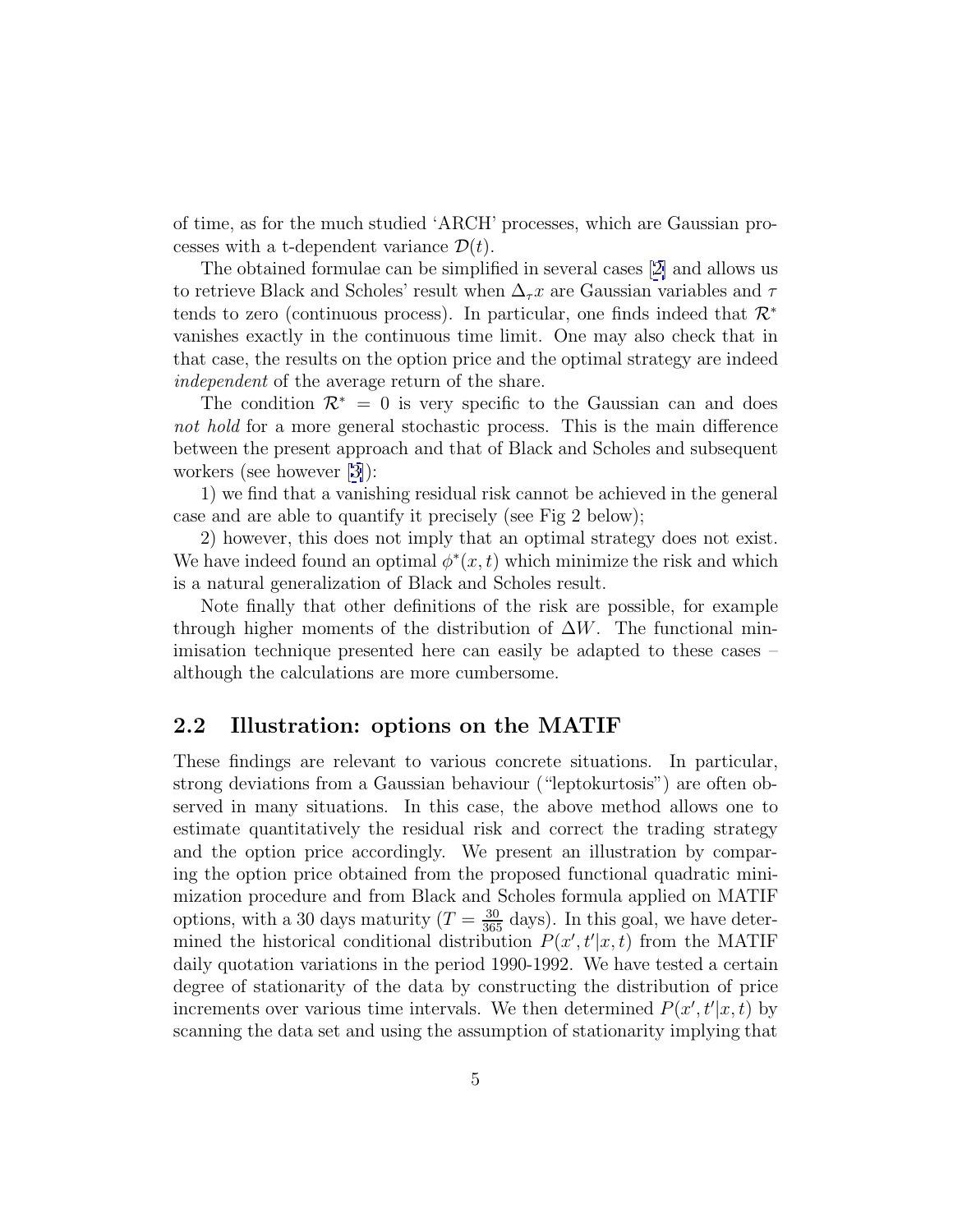of time, as for the much studied 'ARCH' processes, which are Gaussian processes with a t-dependent variance  $\mathcal{D}(t)$ .

The obtained formulae can be simplified in several cases [[2\]](#page-11-0) and allows us to retrieve Black and Scholes' result when  $\Delta_{\tau} x$  are Gaussian variables and  $\tau$ tends to zero (continuous process). In particular, one finds indeed that  $\mathcal{R}^*$ vanishes exactly in the continuous time limit. One may also check that in that case, the results on the option price and the optimal strategy are indeed independent of the average return of the share.

The condition  $\mathcal{R}^* = 0$  is very specific to the Gaussian can and does not hold for a more general stochastic process. This is the main difference between the present approach and that of Black and Scholes and subsequent workers (see however [[3\]](#page-11-0)):

1) we find that a vanishing residual risk cannot be achieved in the general case and are able to quantify it precisely (see Fig 2 below);

2) however, this does not imply that an optimal strategy does not exist. We have indeed found an optimal  $\phi^*(x,t)$  which minimize the risk and which is a natural generalization of Black and Scholes result.

Note finally that other definitions of the risk are possible, for example through higher moments of the distribution of  $\Delta W$ . The functional minimisation technique presented here can easily be adapted to these cases – although the calculations are more cumbersome.

### **2.2 Illustration: options on the MATIF**

These findings are relevant to various concrete situations. In particular, strong deviations from a Gaussian behaviour ("leptokurtosis") are often observed in many situations. In this case, the above method allows one to estimate quantitatively the residual risk and correct the trading strategy and the option price accordingly. We present an illustration by comparing the option price obtained from the proposed functional quadratic minimization procedure and from Black and Scholes formula applied on MATIF options, with a 30 days maturity  $(T = \frac{30}{365}$  days). In this goal, we have determined the historical conditional distribution  $P(x', t'|x, t)$  from the MATIF daily quotation variations in the period 1990-1992. We have tested a certain degree of stationarity of the data by constructing the distribution of price increments over various time intervals. We then determined  $P(x', t'|x, t)$  by scanning the data set and using the assumption of stationarity implying that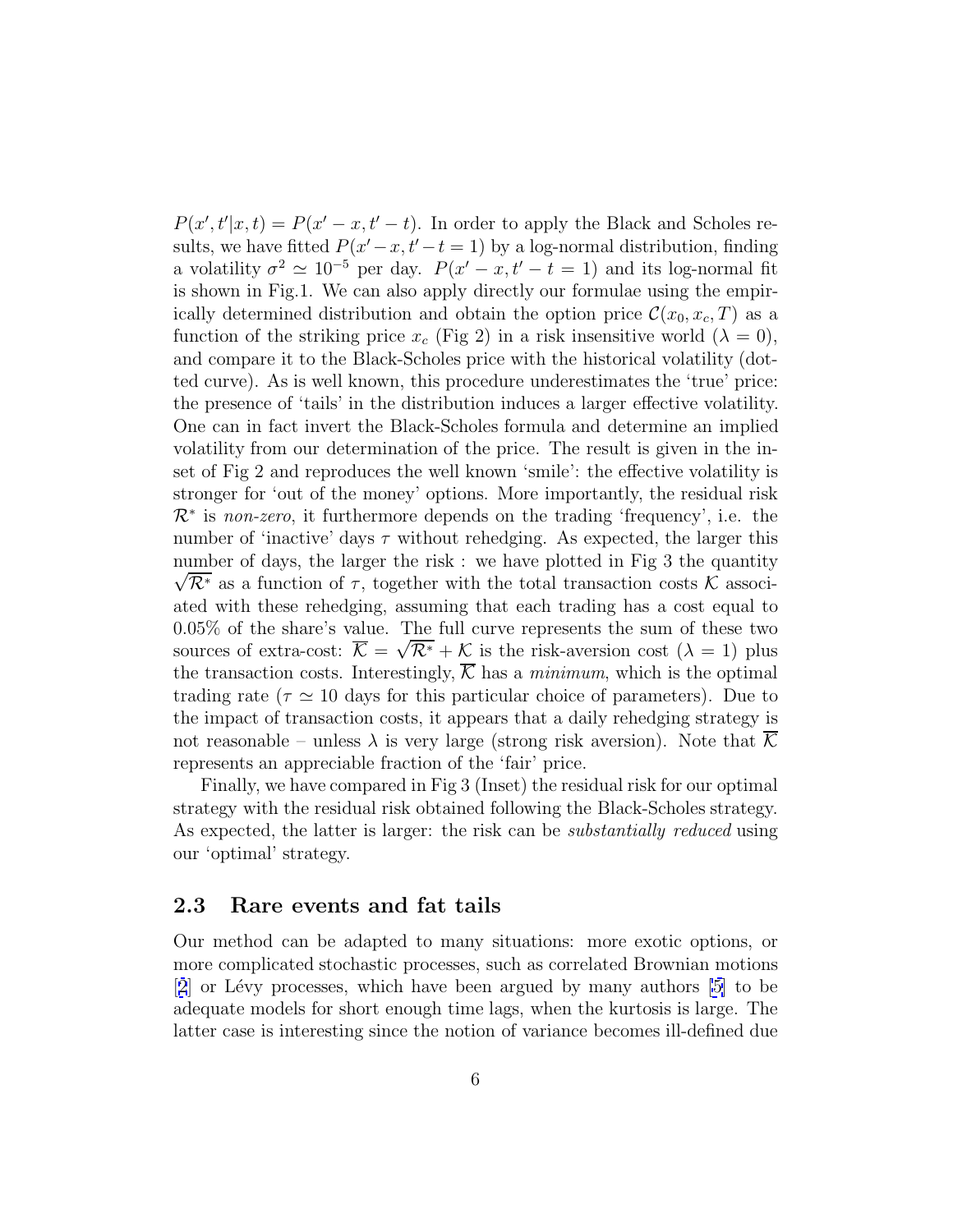$P(x', t'|x, t) = P(x' - x, t' - t)$ . In order to apply the Black and Scholes results, we have fitted  $P(x'-x, t'-t=1)$  by a log-normal distribution, finding a volatility  $\sigma^2 \simeq 10^{-5}$  per day.  $P(x'-x, t'-t=1)$  and its log-normal fit is shown in Fig.1. We can also apply directly our formulae using the empirically determined distribution and obtain the option price  $\mathcal{C}(x_0, x_c, T)$  as a function of the striking price  $x_c$  (Fig 2) in a risk insensitive world  $(\lambda = 0)$ , and compare it to the Black-Scholes price with the historical volatility (dotted curve). As is well known, this procedure underestimates the 'true' price: the presence of 'tails' in the distribution induces a larger effective volatility. One can in fact invert the Black-Scholes formula and determine an implied volatility from our determination of the price. The result is given in the inset of Fig 2 and reproduces the well known 'smile': the effective volatility is stronger for 'out of the money' options. More importantly, the residual risk  $\mathcal{R}^*$  is non-zero, it furthermore depends on the trading 'frequency', i.e. the number of 'inactive' days  $\tau$  without rehedging. As expected, the larger this number of days, the larger the risk : we have plotted in Fig 3 the quantity  $\sqrt{\mathcal{R}^*}$  as a function of  $\tau$ , together with the total transaction costs K associated with these rehedging, assuming that each trading has a cost equal to 0.05% of the share's value. The full curve represents the sum of these two 0.05% or the snare's value. The full curve represents the sum or these two<br>sources of extra-cost:  $\overline{K} = \sqrt{\mathcal{R}^*} + \mathcal{K}$  is the risk-aversion cost  $(\lambda = 1)$  plus the transaction costs. Interestingly,  $\overline{\mathcal{K}}$  has a *minimum*, which is the optimal trading rate ( $\tau \simeq 10$  days for this particular choice of parameters). Due to the impact of transaction costs, it appears that a daily rehedging strategy is not reasonable – unless  $\lambda$  is very large (strong risk aversion). Note that K represents an appreciable fraction of the 'fair' price.

Finally, we have compared in Fig 3 (Inset) the residual risk for our optimal strategy with the residual risk obtained following the Black-Scholes strategy. As expected, the latter is larger: the risk can be *substantially reduced* using our 'optimal' strategy.

### **2.3 Rare events and fat tails**

Our method can be adapted to many situations: more exotic options, or more complicated stochastic processes, such as correlated Brownian motions  $[2]$  $[2]$  $[2]$  or Lévy processes, which have been argued by many authors  $[5]$  to be adequate models for short enough time lags, when the kurtosis is large. The latter case is interesting since the notion of variance becomes ill-defined due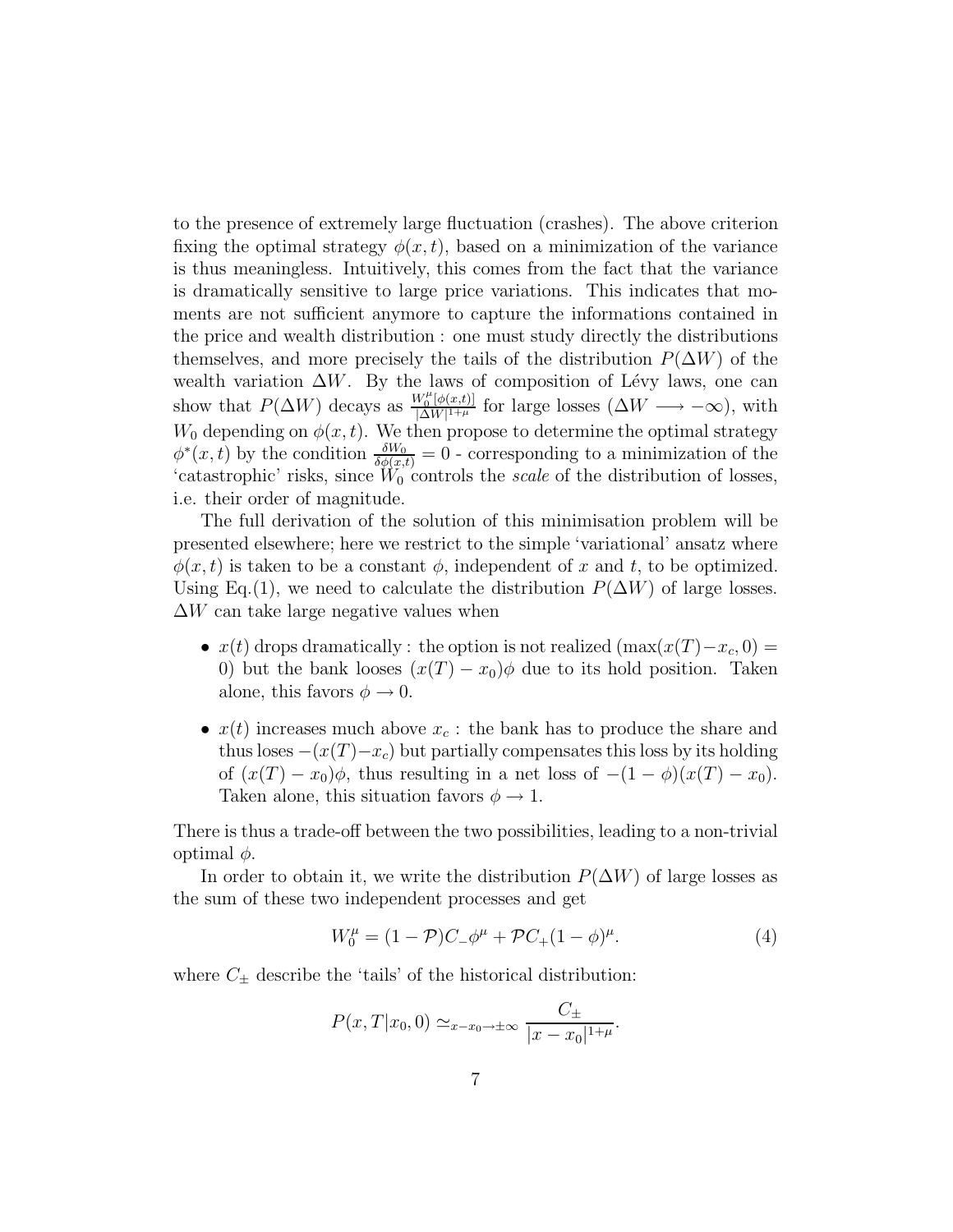to the presence of extremely large fluctuation (crashes). The above criterion fixing the optimal strategy  $\phi(x, t)$ , based on a minimization of the variance is thus meaningless. Intuitively, this comes from the fact that the variance is dramatically sensitive to large price variations. This indicates that moments are not sufficient anymore to capture the informations contained in the price and wealth distribution : one must study directly the distributions themselves, and more precisely the tails of the distribution  $P(\Delta W)$  of the wealth variation  $\Delta W$ . By the laws of composition of Lévy laws, one can show that  $P(\Delta W)$  decays as  $\frac{W_0^{\mu}[\phi(x,t)]}{|\Delta W|^{1+\mu}}$  for large losses  $(\Delta W \longrightarrow -\infty)$ , with  $W_0$  depending on  $\phi(x, t)$ . We then propose to determine the optimal strategy  $\phi^*(x,t)$  by the condition  $\frac{\delta W_0}{\delta \phi(x,t)} = 0$  - corresponding to a minimization of the 'catastrophic' risks, since  $\hat{W}_0$  controls the scale of the distribution of losses, i.e. their order of magnitude.

The full derivation of the solution of this minimisation problem will be presented elsewhere; here we restrict to the simple 'variational' ansatz where  $\phi(x, t)$  is taken to be a constant  $\phi$ , independent of x and t, to be optimized. Using Eq.(1), we need to calculate the distribution  $P(\Delta W)$  of large losses.  $\Delta W$  can take large negative values when

- $x(t)$  drops dramatically : the option is not realized  $(\max(x(T)-x_c, 0))$ 0) but the bank looses  $(x(T) - x_0)\phi$  due to its hold position. Taken alone, this favors  $\phi \to 0$ .
- $x(t)$  increases much above  $x_c$ : the bank has to produce the share and thus loses  $-(x(T)-x_c)$  but partially compensates this loss by its holding of  $(x(T) - x_0)\phi$ , thus resulting in a net loss of  $-(1 - \phi)(x(T) - x_0)$ . Taken alone, this situation favors  $\phi \rightarrow 1$ .

There is thus a trade-off between the two possibilities, leading to a non-trivial optimal  $φ$ .

In order to obtain it, we write the distribution  $P(\Delta W)$  of large losses as the sum of these two independent processes and get

$$
W_0^{\mu} = (1 - \mathcal{P})C_{-}\phi^{\mu} + \mathcal{P}C_{+}(1 - \phi)^{\mu}.
$$
 (4)

where  $C_{\pm}$  describe the 'tails' of the historical distribution:

$$
P(x, T | x_0, 0) \simeq_{x-x_0 \to \pm \infty} \frac{C_{\pm}}{|x - x_0|^{1+\mu}}.
$$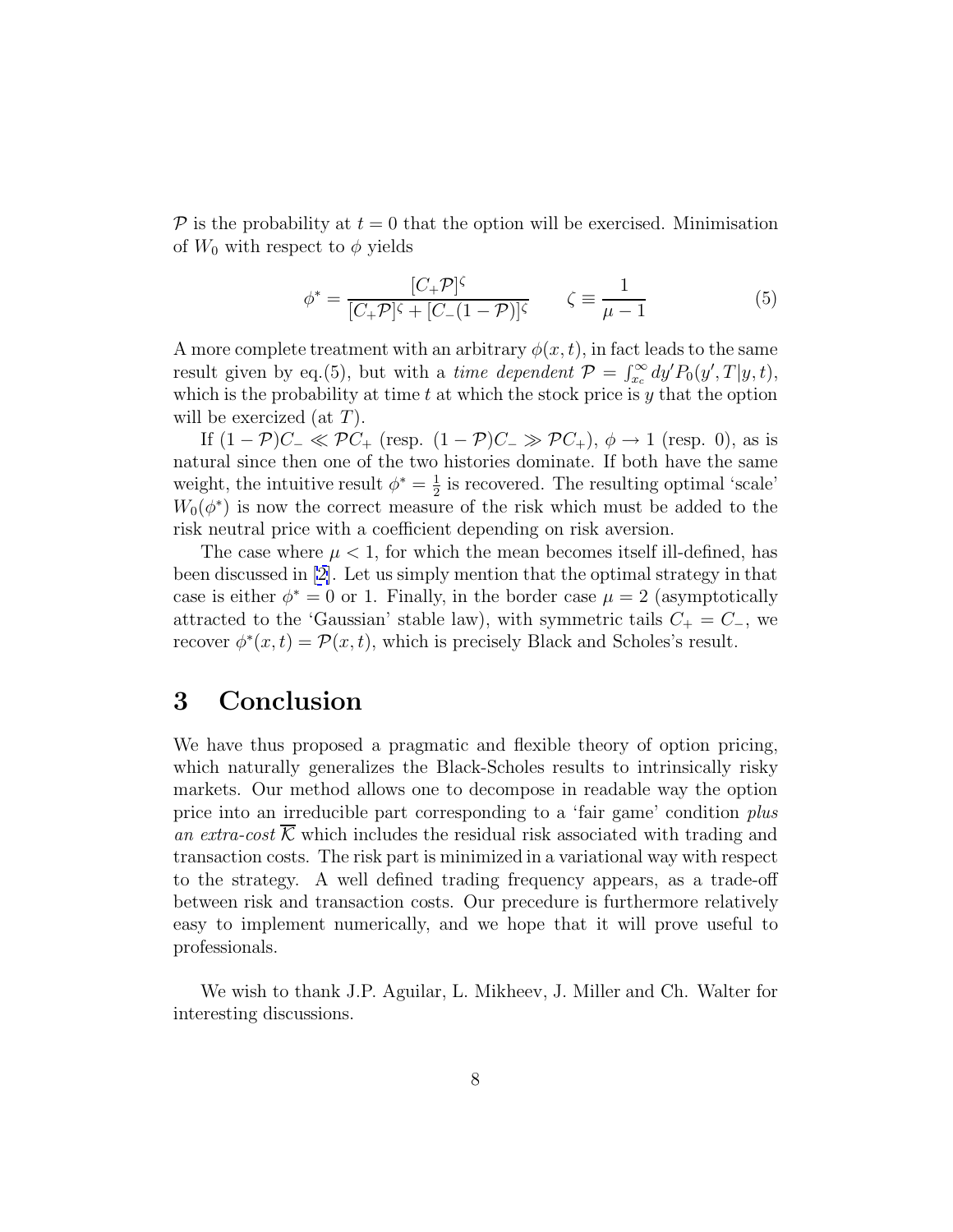$\mathcal P$  is the probability at  $t = 0$  that the option will be exercised. Minimisation of  $W_0$  with respect to  $\phi$  yields

$$
\phi^* = \frac{[C_+ \mathcal{P}]^{\zeta}}{[C_+ \mathcal{P}]^{\zeta} + [C_-(1-\mathcal{P})]^{\zeta}} \qquad \zeta \equiv \frac{1}{\mu - 1}
$$
(5)

A more complete treatment with an arbitrary  $\phi(x, t)$ , in fact leads to the same result given by eq.(5), but with a *time dependent*  $P = \int_{x_c}^{\infty} dy' P_0(y', T | y, t)$ , which is the probability at time  $t$  at which the stock price is  $y$  that the option will be exercized (at  $T$ ).

If  $(1 - P)C_{-} \ll PC_{+}$  (resp.  $(1 - P)C_{-} \gg PC_{+}$ ),  $\phi \to 1$  (resp. 0), as is natural since then one of the two histories dominate. If both have the same weight, the intuitive result  $\phi^* = \frac{1}{2}$  is recovered. The resulting optimal 'scale'  $W_0(\phi^*)$  is now the correct measure of the risk which must be added to the risk neutral price with a coefficient depending on risk aversion.

The case where  $\mu < 1$ , for which the mean becomes itself ill-defined, has been discussed in [[2\]](#page-11-0). Let us simply mention that the optimal strategy in that case is either  $\phi^* = 0$  or 1. Finally, in the border case  $\mu = 2$  (asymptotically attracted to the 'Gaussian' stable law), with symmetric tails  $C_+ = C_-\,$ , we recover  $\phi^*(x,t) = \mathcal{P}(x,t)$ , which is precisely Black and Scholes's result.

## **3 Conclusion**

We have thus proposed a pragmatic and flexible theory of option pricing, which naturally generalizes the Black-Scholes results to intrinsically risky markets. Our method allows one to decompose in readable way the option price into an irreducible part corresponding to a 'fair game' condition plus an extra-cost  $\mathcal K$  which includes the residual risk associated with trading and transaction costs. The risk part is minimized in a variational way with respect to the strategy. A well defined trading frequency appears, as a trade-off between risk and transaction costs. Our precedure is furthermore relatively easy to implement numerically, and we hope that it will prove useful to professionals.

We wish to thank J.P. Aguilar, L. Mikheev, J. Miller and Ch. Walter for interesting discussions.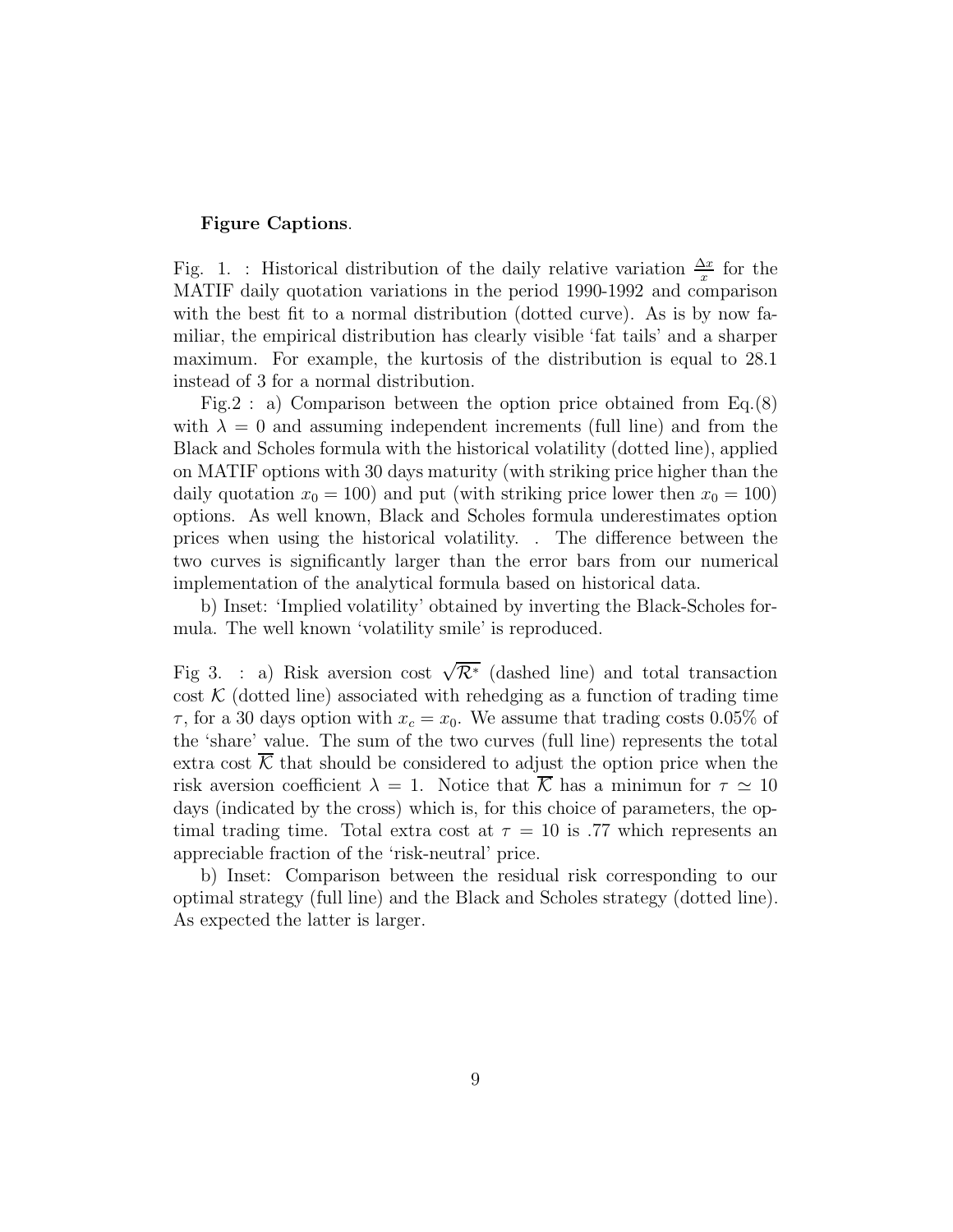#### **Figure Captions**.

Fig. 1. : Historical distribution of the daily relative variation  $\frac{\Delta x}{x}$  for the MATIF daily quotation variations in the period 1990-1992 and comparison with the best fit to a normal distribution (dotted curve). As is by now familiar, the empirical distribution has clearly visible 'fat tails' and a sharper maximum. For example, the kurtosis of the distribution is equal to 28.1 instead of 3 for a normal distribution.

Fig.2 : a) Comparison between the option price obtained from Eq.(8) with  $\lambda = 0$  and assuming independent increments (full line) and from the Black and Scholes formula with the historical volatility (dotted line), applied on MATIF options with 30 days maturity (with striking price higher than the daily quotation  $x_0 = 100$ ) and put (with striking price lower then  $x_0 = 100$ ) options. As well known, Black and Scholes formula underestimates option prices when using the historical volatility. . The difference between the two curves is significantly larger than the error bars from our numerical implementation of the analytical formula based on historical data.

b) Inset: 'Implied volatility' obtained by inverting the Black-Scholes formula. The well known 'volatility smile' is reproduced.

Fig 3. : a) Risk aversion cost  $\sqrt{\mathcal{R}^*}$  (dashed line) and total transaction cost  $K$  (dotted line) associated with rehedging as a function of trading time  $\tau$ , for a 30 days option with  $x_c = x_0$ . We assume that trading costs 0.05% of the 'share' value. The sum of the two curves (full line) represents the total extra cost  $\overline{\mathcal{K}}$  that should be considered to adjust the option price when the risk aversion coefficient  $\lambda = 1$ . Notice that  $\overline{\mathcal{K}}$  has a minimum for  $\tau \simeq 10$ days (indicated by the cross) which is, for this choice of parameters, the optimal trading time. Total extra cost at  $\tau = 10$  is .77 which represents an appreciable fraction of the 'risk-neutral' price.

b) Inset: Comparison between the residual risk corresponding to our optimal strategy (full line) and the Black and Scholes strategy (dotted line). As expected the latter is larger.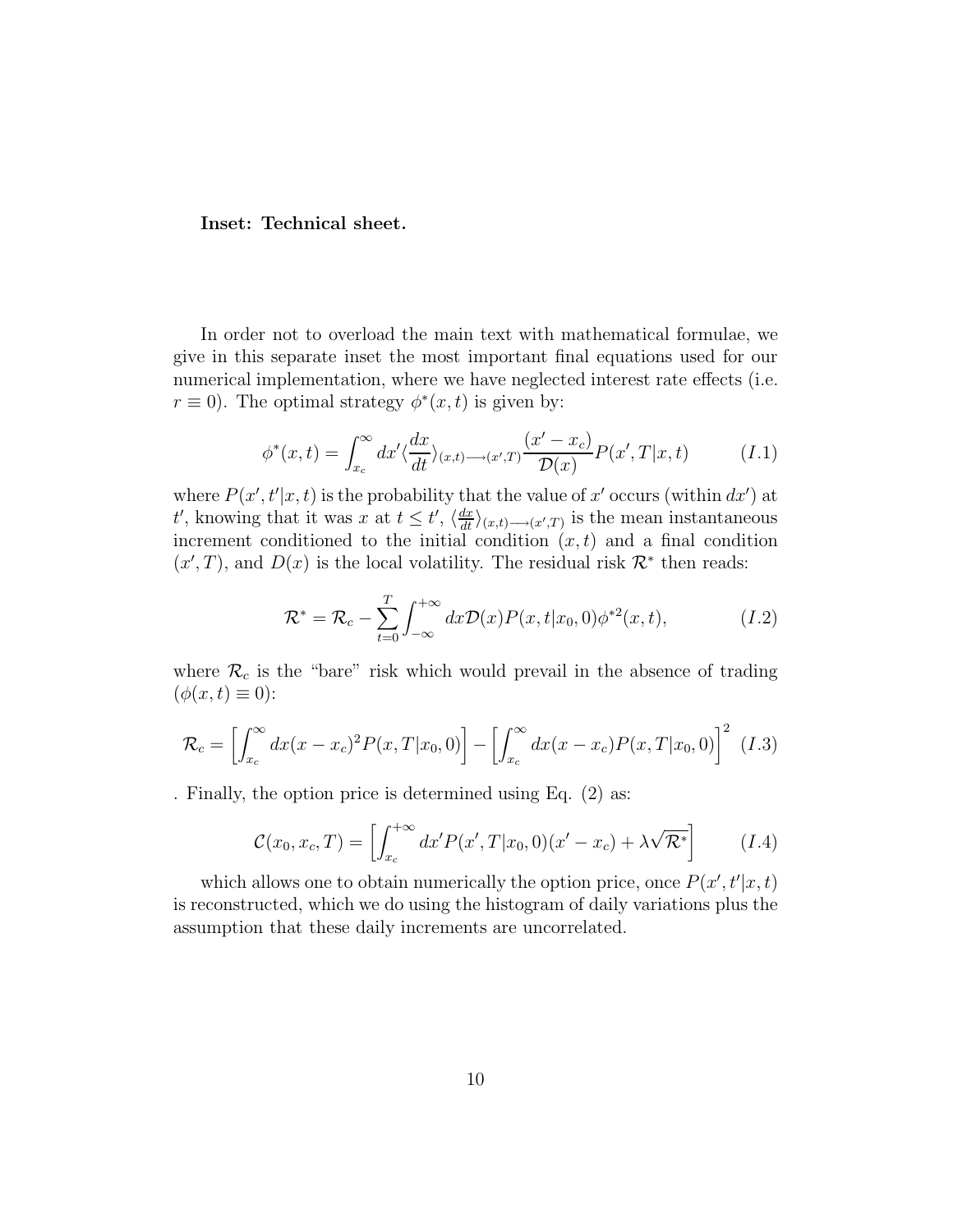### **Inset: Technical sheet.**

In order not to overload the main text with mathematical formulae, we give in this separate inset the most important final equations used for our numerical implementation, where we have neglected interest rate effects (i.e.  $r \equiv 0$ ). The optimal strategy  $\phi^*(x, t)$  is given by:

$$
\phi^*(x,t) = \int_{x_c}^{\infty} dx' \langle \frac{dx}{dt} \rangle_{(x,t) \longrightarrow (x',T)} \frac{(x'-x_c)}{\mathcal{D}(x)} P(x',T|x,t) \tag{I.1}
$$

where  $P(x', t'|x, t)$  is the probability that the value of x' occurs (within  $dx'$ ) at t', knowing that it was x at  $t \leq t'$ ,  $\langle \frac{dx}{dt} \rangle_{(x,t) \longrightarrow (x',T)}$  is the mean instantaneous increment conditioned to the initial condition  $(x, t)$  and a final condition  $(x',T)$ , and  $D(x)$  is the local volatility. The residual risk  $\mathcal{R}^*$  then reads:

$$
\mathcal{R}^* = \mathcal{R}_c - \sum_{t=0}^T \int_{-\infty}^{+\infty} dx \mathcal{D}(x) P(x, t | x_0, 0) \phi^{*2}(x, t), \qquad (I.2)
$$

where  $\mathcal{R}_c$  is the "bare" risk which would prevail in the absence of trading  $(\phi(x, t) \equiv 0)$ :

$$
\mathcal{R}_c = \left[ \int_{x_c}^{\infty} dx (x - x_c)^2 P(x, T | x_0, 0) \right] - \left[ \int_{x_c}^{\infty} dx (x - x_c) P(x, T | x_0, 0) \right]^2 \tag{I.3}
$$

. Finally, the option price is determined using Eq. (2) as:

$$
\mathcal{C}(x_0, x_c, T) = \left[ \int_{x_c}^{+\infty} dx' P(x', T | x_0, 0) (x' - x_c) + \lambda \sqrt{\mathcal{R}^*} \right]
$$
 (I.4)

which allows one to obtain numerically the option price, once  $P(x', t'|x, t)$ is reconstructed, which we do using the histogram of daily variations plus the assumption that these daily increments are uncorrelated.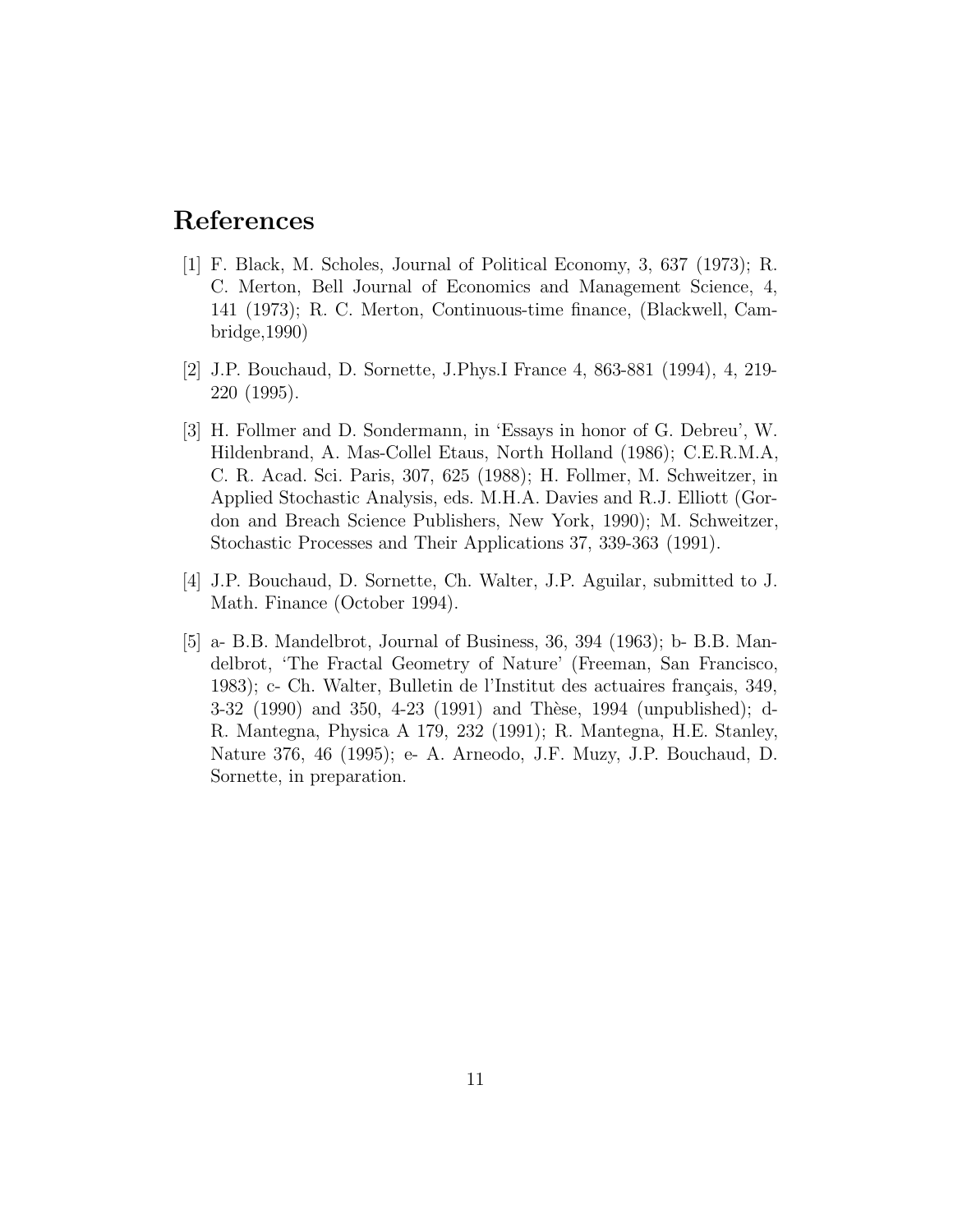# <span id="page-11-0"></span>**References**

- [1] F. Black, M. Scholes, Journal of Political Economy, 3, 637 (1973); R. C. Merton, Bell Journal of Economics and Management Science, 4, 141 (1973); R. C. Merton, Continuous-time finance, (Blackwell, Cambridge,1990)
- [2] J.P. Bouchaud, D. Sornette, J.Phys.I France 4, 863-881 (1994), 4, 219- 220 (1995).
- [3] H. Follmer and D. Sondermann, in 'Essays in honor of G. Debreu', W. Hildenbrand, A. Mas-Collel Etaus, North Holland (1986); C.E.R.M.A, C. R. Acad. Sci. Paris, 307, 625 (1988); H. Follmer, M. Schweitzer, in Applied Stochastic Analysis, eds. M.H.A. Davies and R.J. Elliott (Gordon and Breach Science Publishers, New York, 1990); M. Schweitzer, Stochastic Processes and Their Applications 37, 339-363 (1991).
- [4] J.P. Bouchaud, D. Sornette, Ch. Walter, J.P. Aguilar, submitted to J. Math. Finance (October 1994).
- [5] a- B.B. Mandelbrot, Journal of Business, 36, 394 (1963); b- B.B. Mandelbrot, 'The Fractal Geometry of Nature' (Freeman, San Francisco, 1983); c- Ch. Walter, Bulletin de l'Institut des actuaires français, 349, 3-32 (1990) and 350, 4-23 (1991) and Thèse, 1994 (unpublished); d-R. Mantegna, Physica A 179, 232 (1991); R. Mantegna, H.E. Stanley, Nature 376, 46 (1995); e- A. Arneodo, J.F. Muzy, J.P. Bouchaud, D. Sornette, in preparation.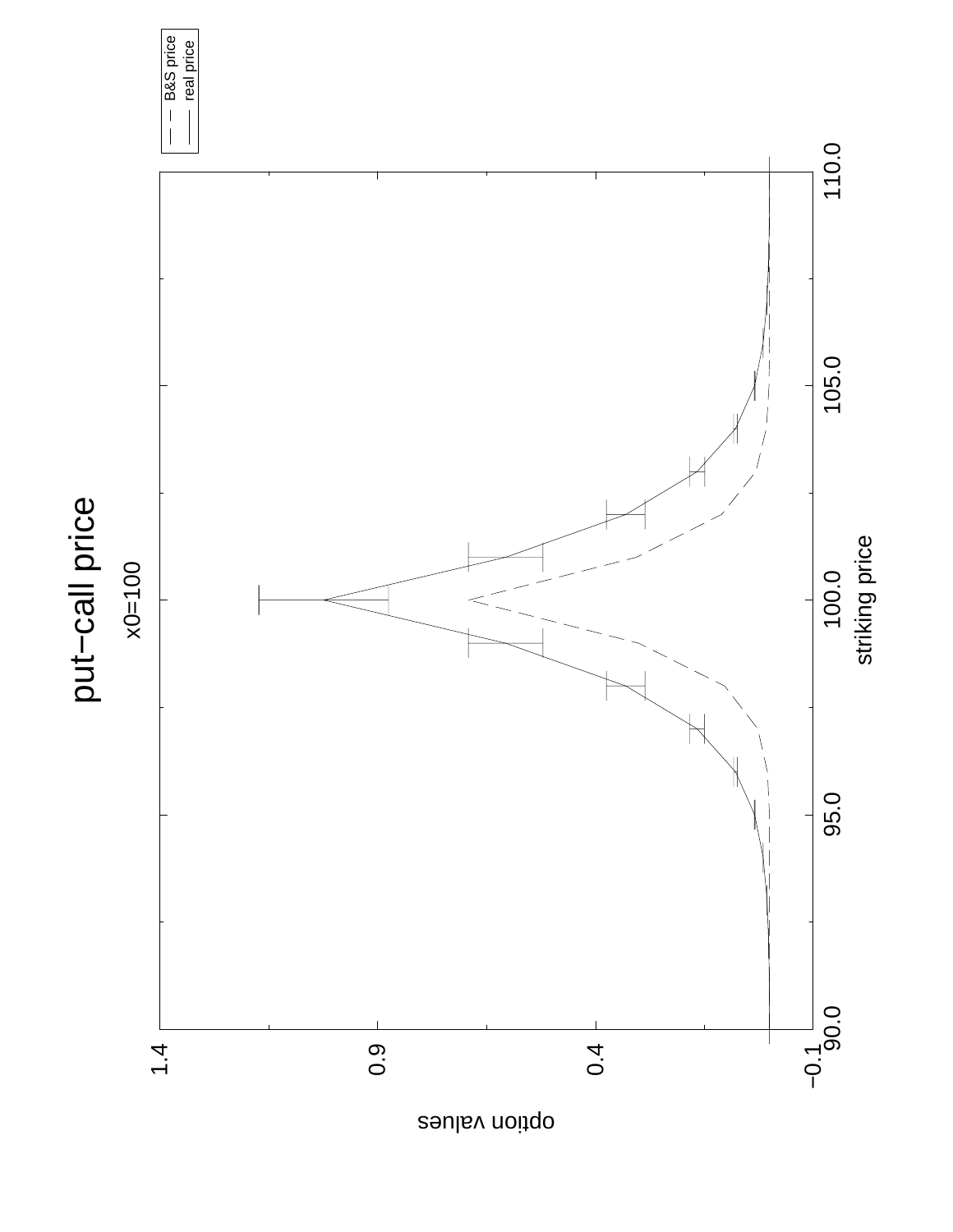

option values

B&S price real price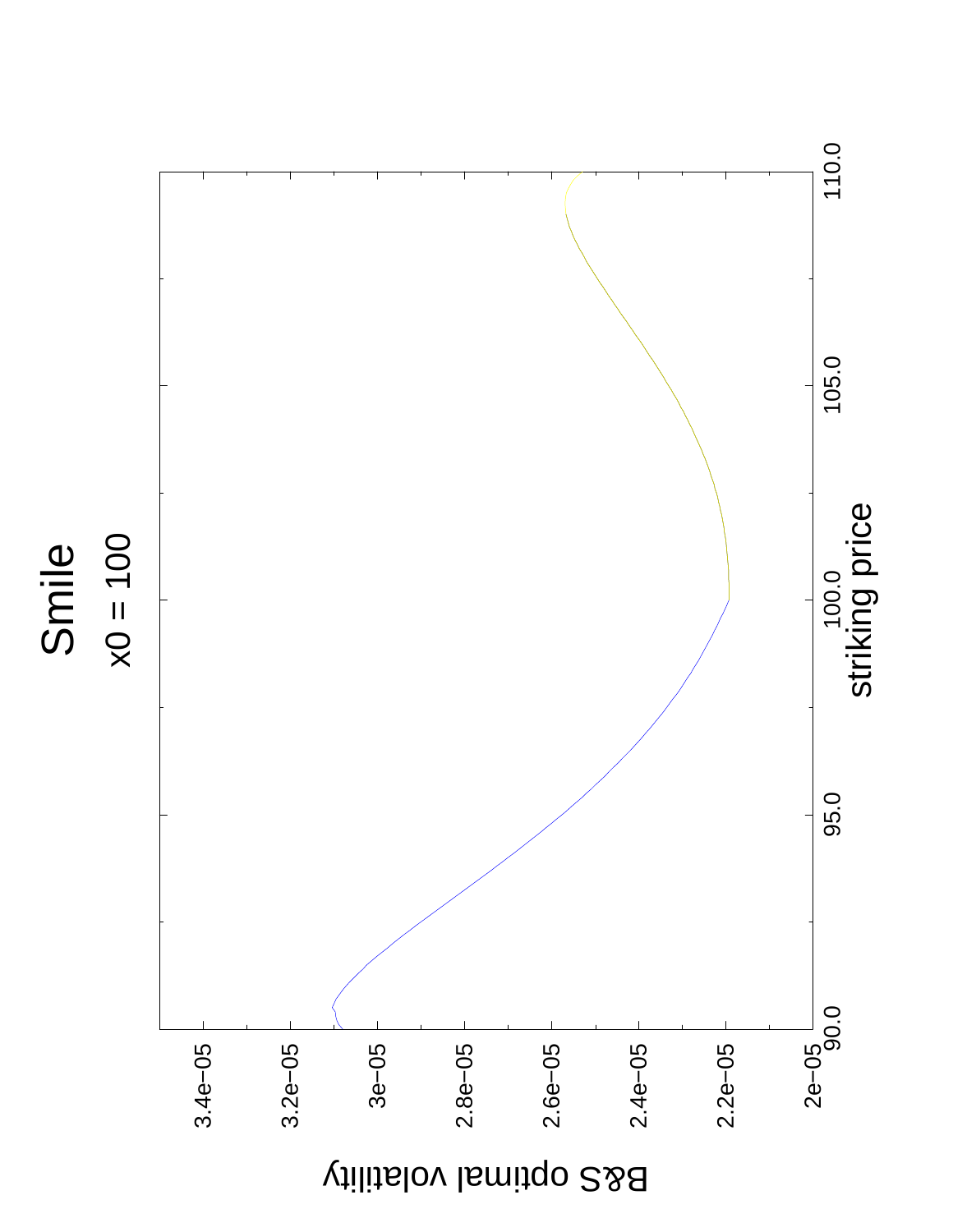

B&S optimal volatility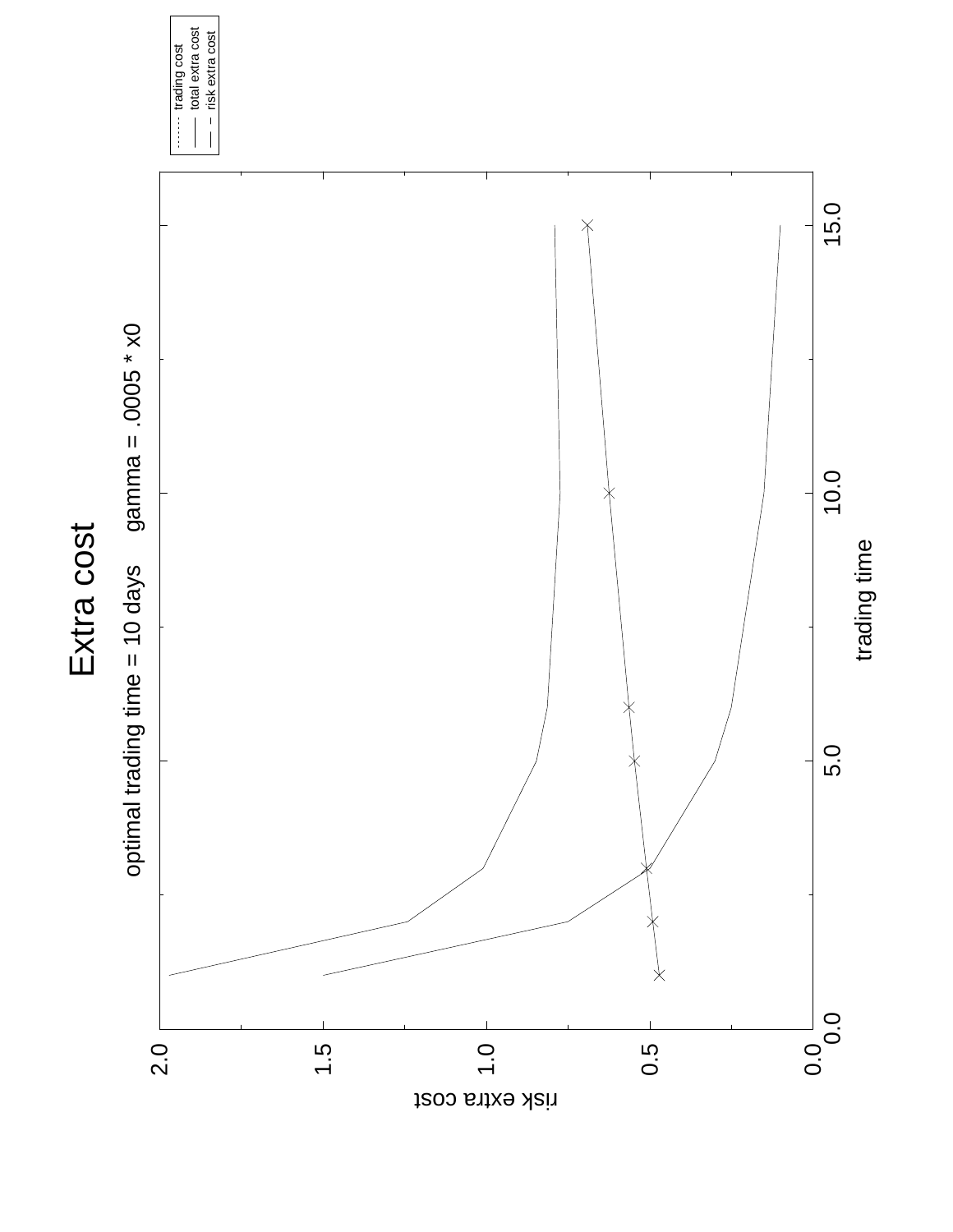



------- trading cost<br>------- total extra cost<br>------ risk extra cost total extra cost risk extra costtrading cost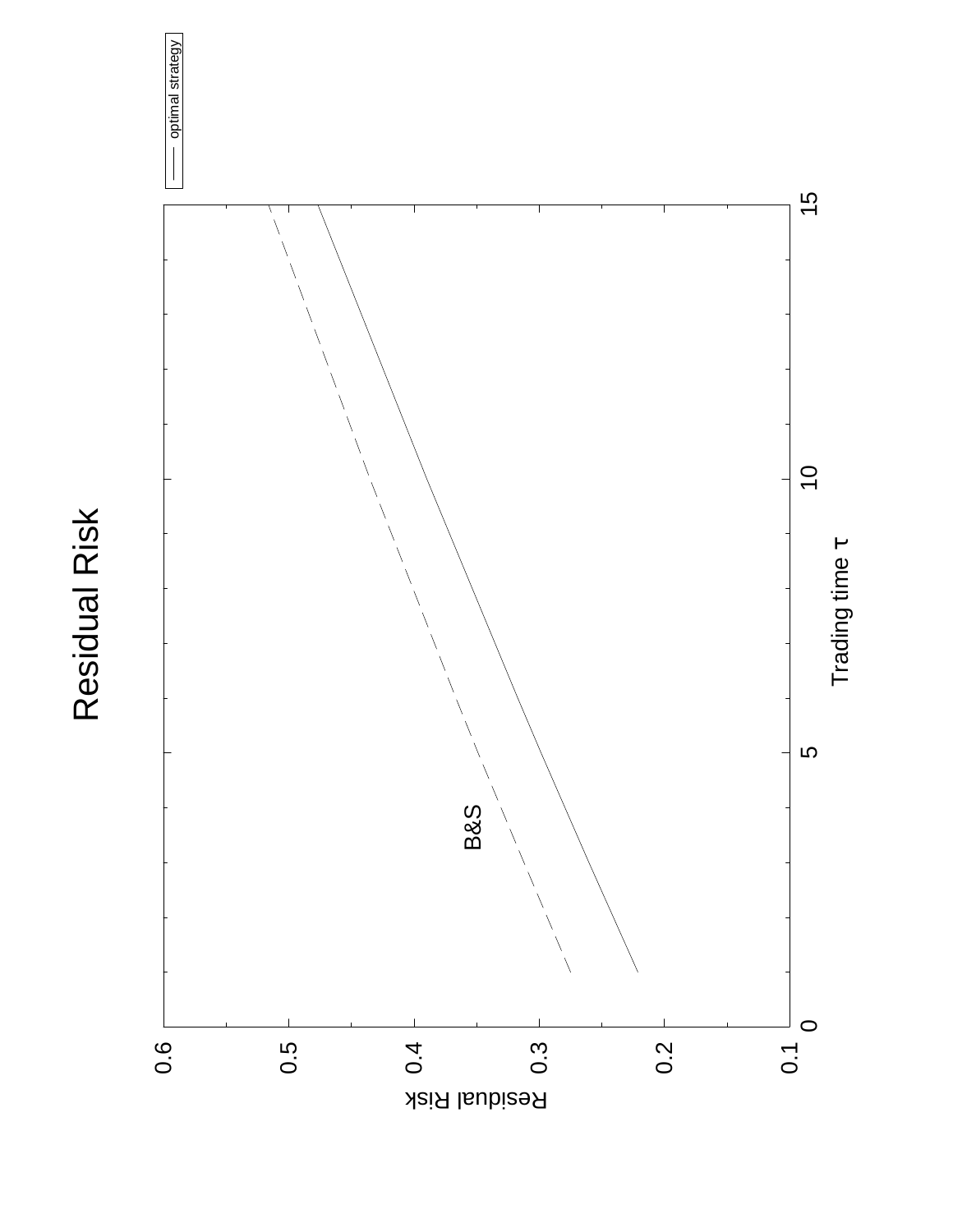



optimal strategy

optimal strategy